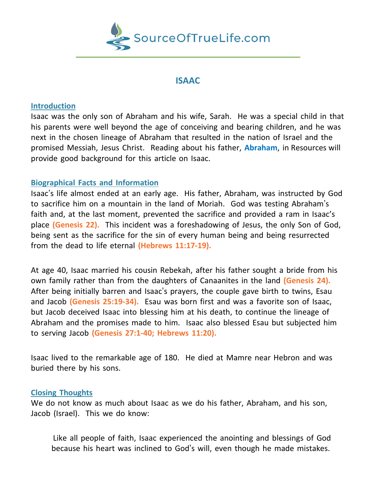

## **ISAAC**

## **Introduction**

Isaac was the only son of Abraham and his wife, Sarah. He was a special child in that his parents were well beyond the age of conceiving and bearing children, and he was next in the chosen lineage of Abraham that resulted in the nation of Israel and the promised Messiah, Jesus Christ. Reading about his father, **Abraham**, in Resources will provide good background for this article on Isaac.

## **Biographical Facts and Information**

Isaac's life almost ended at an early age. His father, Abraham, was instructed by God to sacrifice him on a mountain in the land of Moriah. God was testing Abraham's faith and, at the last moment, prevented the sacrifice and provided a ram in Isaac's place **(Genesis 22).** This incident was a foreshadowing of Jesus, the only Son of God, being sent as the sacrifice for the sin of every human being and being resurrected from the dead to life eternal **(Hebrews 11:17-19).**

At age 40, Isaac married his cousin Rebekah, after his father sought a bride from his own family rather than from the daughters of Canaanites in the land **(Genesis 24).** After being initially barren and Isaac's prayers, the couple gave birth to twins, Esau and Jacob **(Genesis 25:19-34).** Esau was born first and was a favorite son of Isaac, but Jacob deceived Isaac into blessing him at his death, to continue the lineage of Abraham and the promises made to him. Isaac also blessed Esau but subjected him to serving Jacob **(Genesis 27:1-40; Hebrews 11:20).**

Isaac lived to the remarkable age of 180. He died at Mamre near Hebron and was buried there by his sons.

## **Closing Thoughts**

We do not know as much about Isaac as we do his father, Abraham, and his son, Jacob (Israel). This we do know:

Like all people of faith, Isaac experienced the anointing and blessings of God because his heart was inclined to God's will, even though he made mistakes.